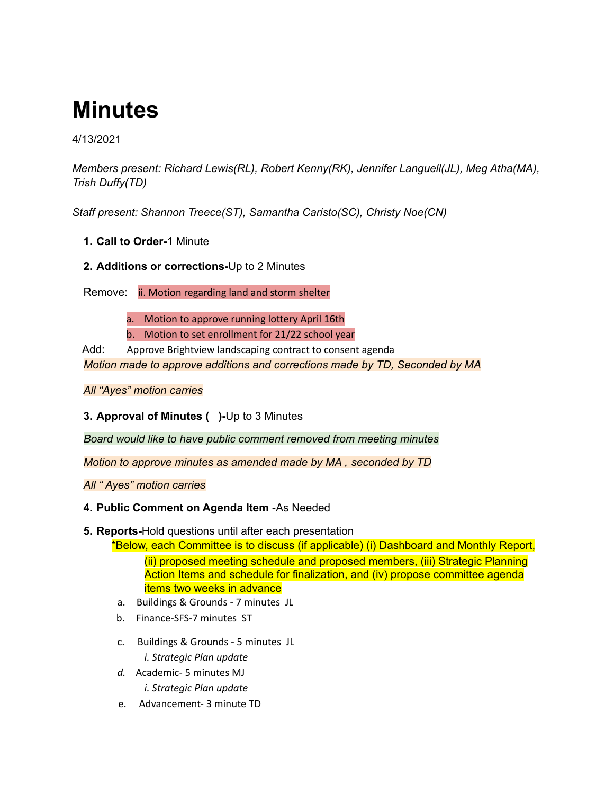# **Minutes**

### 4/13/2021

*Members present: Richard Lewis(RL), Robert Kenny(RK), Jennifer Languell(JL), Meg Atha(MA), Trish Duffy(TD)*

*Staff present: Shannon Treece(ST), Samantha Caristo(SC), Christy Noe(CN)*

- **1. Call to Order-**1 Minute
- **2. Additions or corrections-**Up to 2 Minutes

Remove: ii. Motion regarding land and storm shelter

a. Motion to approve running lottery April 16th

b. Motion to set enrollment for 21/22 school year

Add: Approve Brightview landscaping contract to consent agenda *Motion made to approve additions and corrections made by TD, Seconded by MA*

## *All "Ayes" motion carries*

# **3. Approval of Minutes ( )-**Up to 3 Minutes

*Board would like to have public comment removed from meeting minutes*

*Motion to approve minutes as amended made by MA , seconded by TD*

*All " Ayes" motion carries*

#### **4. Public Comment on Agenda Item -**As Needed

- **5. Reports-**Hold questions until after each presentation
	- \*Below, each Committee is to discuss (if applicable) (i) Dashboard and Monthly Report, (ii) proposed meeting schedule and proposed members, (iii) Strategic Planning Action Items and schedule for finalization, and (iv) propose committee agenda items two weeks in advance
	- a. Buildings & Grounds 7 minutes JL
	- b. Finance-SFS-7 minutes ST
	- c. Buildings & Grounds 5 minutes JL *i. Strategic Plan update*
	- *d.* Academic- 5 minutes MJ *i. Strategic Plan update*
	- e. Advancement- 3 minute TD